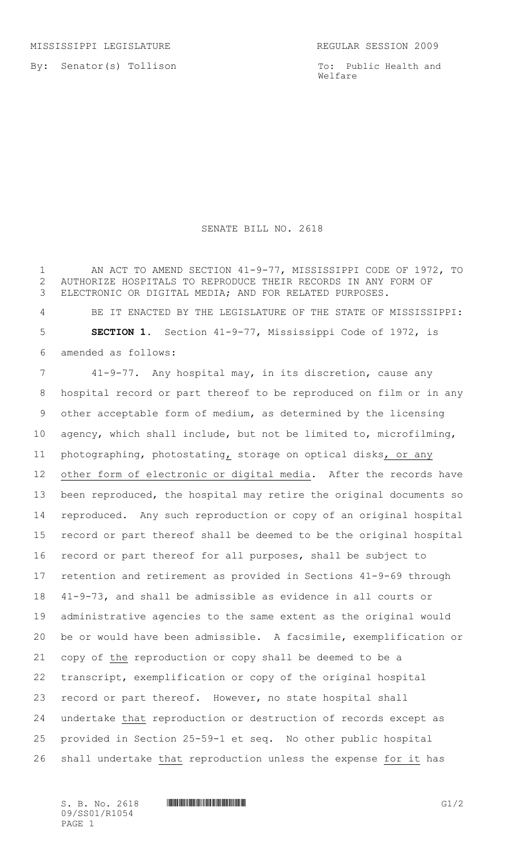By: Senator(s) Tollison

To: Public Health and Welfare

## SENATE BILL NO. 2618

1 AN ACT TO AMEND SECTION 41-9-77, MISSISSIPPI CODE OF 1972, TO AUTHORIZE HOSPITALS TO REPRODUCE THEIR RECORDS IN ANY FORM OF ELECTRONIC OR DIGITAL MEDIA; AND FOR RELATED PURPOSES.

 BE IT ENACTED BY THE LEGISLATURE OF THE STATE OF MISSISSIPPI: **SECTION 1.** Section 41-9-77, Mississippi Code of 1972, is amended as follows:

 41-9-77. Any hospital may, in its discretion, cause any hospital record or part thereof to be reproduced on film or in any other acceptable form of medium, as determined by the licensing agency, which shall include, but not be limited to, microfilming, photographing, photostating, storage on optical disks, or any other form of electronic or digital media. After the records have been reproduced, the hospital may retire the original documents so reproduced. Any such reproduction or copy of an original hospital record or part thereof shall be deemed to be the original hospital record or part thereof for all purposes, shall be subject to retention and retirement as provided in Sections 41-9-69 through 41-9-73, and shall be admissible as evidence in all courts or administrative agencies to the same extent as the original would be or would have been admissible. A facsimile, exemplification or copy of the reproduction or copy shall be deemed to be a transcript, exemplification or copy of the original hospital record or part thereof. However, no state hospital shall undertake that reproduction or destruction of records except as provided in Section 25-59-1 et seq. No other public hospital shall undertake that reproduction unless the expense for it has

09/SS01/R1054 PAGE 1

 $S. B. No. 2618$  **INNIFICATION IN THE INSTALLATION**